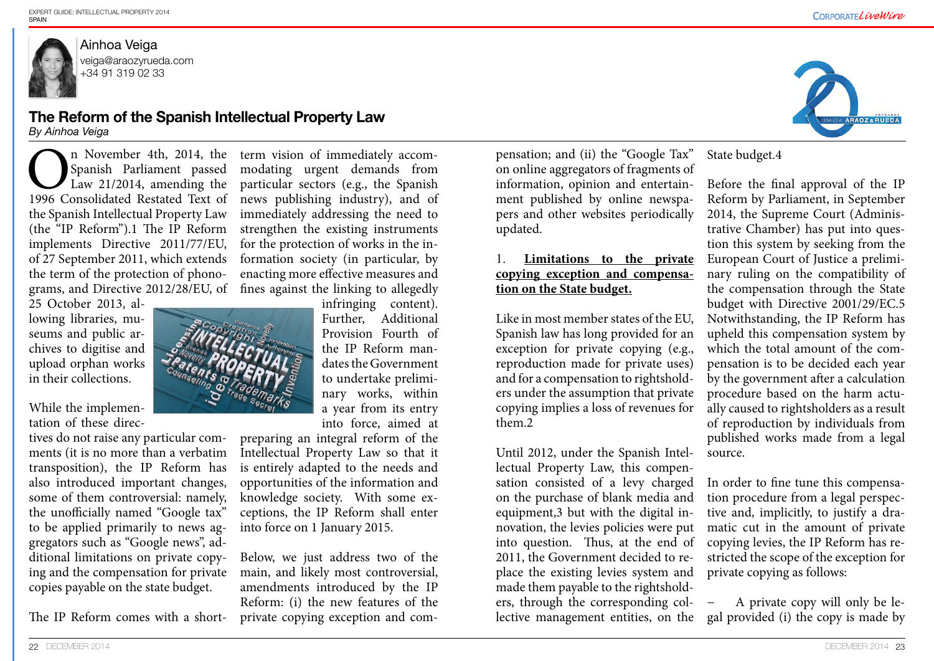



Ainhoa Veiga veiga@araozyrueda.com +34 91 319 02 33

## **The Reform of the Spanish Intellectual Property Law**

*By Ainhoa Veiga* 

25 October 2013, allowing libraries, museums and public archives to digitise and upload orphan works in their collections.

While the implementation of these direc-

n November 4th, 2014, the<br>Spanish Parliament passed<br>Law 21/2014, amending the<br>1996 Consolidated Restated Text of Spanish Parliament passed Law 21/2014, amending the 1996 Consolidated Restated Text of the Spanish Intellectual Property Law (the "IP Reform").1 The IP Reform implements Directive 2011/77/EU, of 27 September 2011, which extends the term of the protection of phonograms, and Directive 2012/28/EU, of fines against the linking to allegedly

tives do not raise any particular comments (it is no more than a verbatim transposition), the IP Reform has also introduced important changes, some of them controversial: namely, the unofficially named "Google tax" to be applied primarily to news aggregators such as "Google news", additional limitations on private copying and the compensation for private copies payable on the state budget.

The IP Reform comes with a short-

term vision of immediately accommodating urgent demands from particular sectors (e.g., the Spanish news publishing industry), and of immediately addressing the need to strengthen the existing instruments for the protection of works in the information society (in particular, by enacting more effective measures and

infringing content). Further, Additional Provision Fourth of the IP Reform mandates the Government to undertake preliminary works, within a year from its entry into force, aimed at

preparing an integral reform of the Intellectual Property Law so that it is entirely adapted to the needs and opportunities of the information and knowledge society. With some exceptions, the IP Reform shall enter into force on 1 January 2015.

Below, we just address two of the main, and likely most controversial, amendments introduced by the IP Reform: (i) the new features of the private copying exception and compensation; and (ii) the "Google Tax" on online aggregators of fragments of information, opinion and entertainment published by online newspapers and other websites periodically updated.

## 1. **Limitations to the private copying exception and compensation on the State budget.**

Like in most member states of the EU, Spanish law has long provided for an exception for private copying (e.g., reproduction made for private uses) and for a compensation to rightsholders under the assumption that private copying implies a loss of revenues for them.2 Before the final approval of the IP Reform by Parliament, in September 2014, the Supreme Court (Administrative Chamber) has put into question this system by seeking from the European Court of Justice a preliminary ruling on the compatibility of the compensation through the State budget with Directive 2001/29/EC.5 Notwithstanding, the IP Reform has upheld this compensation system by which the total amount of the compensation is to be decided each year by the government after a calculation procedure based on the harm actually caused to rightsholders as a result of reproduction by individuals from published works made from a legal source.

State budget.4

Until 2012, under the Spanish Intellectual Property Law, this compensation consisted of a levy charged on the purchase of blank media and equipment,3 but with the digital innovation, the levies policies were put into question. Thus, at the end of 2011, the Government decided to replace the existing levies system and made them payable to the rightsholders, through the corresponding collective management entities, on the In order to fine tune this compensation procedure from a legal perspective and, implicitly, to justify a dramatic cut in the amount of private copying levies, the IP Reform has restricted the scope of the exception for private copying as follows: − A private copy will only be legal provided (i) the copy is made by